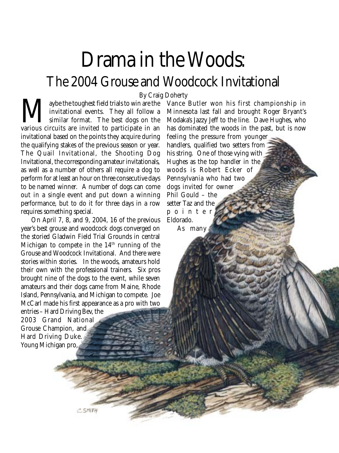## Drama in the Woods: The 2004 Grouse and Woodcock Invitational

We the toughest field trials to win are the invitational events. They all follow a similar format. The best dogs on the various circuits are invited to participate in an invitational events. They all follow a similar format. The best dogs on the invitational based on the points they acquire during the qualifying stakes of the previous season or year. The Quail Invitational, the Shooting Dog Invitational, the corresponding amateur invitationals, as well as a number of others all require a dog to perform for at least an hour on three consecutive days to be named winner. A number of dogs can come out in a single event and put down a winning performance, but to do it for three days in a row requires something special. By Craig Doherty<br>Taybe the toughest field trials to win are the Vance

On April 7, 8, and 9, 2004, 16 of the previous year's best grouse and woodcock dogs converged on the storied Gladwin Field Trial Grounds in central Michigan to compete in the 14<sup>th</sup> running of the Grouse and Woodcock Invitational. And there were stories within stories. In the woods, amateurs hold their own with the professional trainers. Six pros brought nine of the dogs to the event, while seven amateurs and their dogs came from Maine, Rhode Island, Pennsylvania, and Michigan to compete. Joe McCarl made his first appearance as a pro with two

entries – Hard Driving Bev, the 2003 Grand National Grouse Champion, and Hard Driving Duke. Young Michigan pro,

Minnesota last fall and brought Roger Bryant's Modaka's Jazzy Jeff to the line. Dave Hughes, who has dominated the woods in the past, but is now feeling the pressure from younger

Vance Butler won his first championship in

handlers, qualified two setters from his string. One of those vying with Hughes as the top handler in the woods is Robert Ecker of Pennsylvania who had two dogs invited for owner Phil Gould – the setter Taz and the pointer Eldorado.

As many

C.SMITH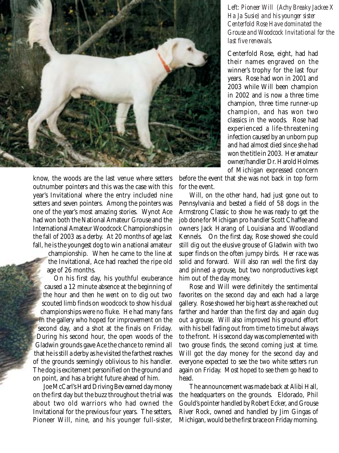

know, the woods are the last venue where setters outnumber pointers and this was the case with this year's Invitational where the entry included nine setters and seven pointers. Among the pointers was one of the year's most amazing stories. Wynot Ace had won both the National Amateur Grouse and the International Amateur Woodcock Championships in the fall of 2003 as a derby. At 20 months of age last fall, he is the youngest dog to win a national amateur

championship. When he came to the line at the Invitational, Ace had reached the ripe old age of 26 months.

On his first day, his youthful exuberance caused a 12 minute absence at the beginning of the hour and then he went on to dig out two scouted limb finds on woodcock to show his dual championships were no fluke. He had many fans in the gallery who hoped for improvement on the second day, and a shot at the finals on Friday. During his second hour, the open woods of the Gladwin grounds gave Ace the chance to remind all that he is still a derby as he visited the farthest reaches of the grounds seemingly oblivious to his handler. The dog is excitement personified on the ground and on point, and has a bright future ahead of him.

Joe McCarl's Hard Driving Bev earned day money on the first day but the buzz throughout the trial was about two old warriors who had owned the Invitational for the previous four years. The setters, Pioneer Will, nine, and his younger full-sister,

## *Left: Pioneer Will (Achy Breaky Jackee X Ha Ja Susie) and his younger sister Centerfold Rose Have dominated the Grouse and Woodcock Invitational for the last five renewals.*

Centerfold Rose, eight, had had their names engraved on the winner's trophy for the last four years. Rose had won in 2001 and 2003 while Will been champion in 2002 and is now a three time champion, three time runner-up champion, and has won two classics in the woods. Rose had experienced a life-threatening infection caused by an unborn pup and had almost died since she had won the title in 2003. Her amateur owner/handler Dr. Harold Holmes of Michigan expressed concern

before the event that she was not back in top form for the event.

Will, on the other hand, had just gone out to Pennsylvania and bested a field of 58 dogs in the Armstrong Classic to show he was ready to get the job done for Michigan pro handler Scott Chaffee and owners Jack Harang of Louisiana and Woodland Kennels. On the first day, Rose showed she could still dig out the elusive grouse of Gladwin with two super finds on the often jumpy birds. Her race was solid and forward. Will also ran well the first day and pinned a grouse, but two nonproductives kept him out of the day money.

Rose and Will were definitely the sentimental favorites on the second day and each had a large gallery. Rose showed her big heart as she reached out farther and harder than the first day and again dug out a grouse. Will also improved his ground effort with his bell fading out from time to time but always to the front. His second day was complemented with two grouse finds, the second coming just at time. Will got the day money for the second day and everyone expected to see the two white setters run again on Friday. Most hoped to see them go head to head.

The announcement was made back at Alibi Hall, the headquarters on the grounds. Eldorado, Phil Gould's pointer handled by Robert Ecker, and Grouse River Rock, owned and handled by Jim Gingas of Michigan, would be the first brace on Friday morning.